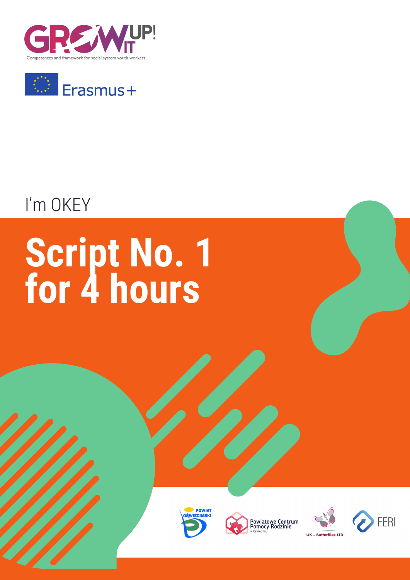



## I'm OKEY

# **Script No. 1 for 4 hours**







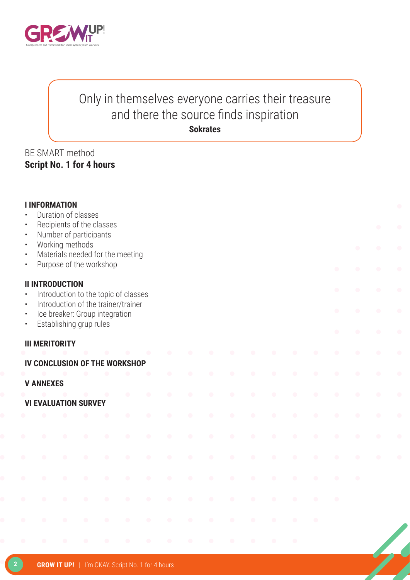

### Only in themselves everyone carries their treasure and there the source finds inspiration **Sokrates**

#### BE SMART method **Script No. 1 for 4 hours**

| $\bullet$<br>$\bullet$<br>$\bullet$<br>$\bullet$<br>$\bullet$<br>$\bullet$ | <b>I INFORMATION</b>   | Working methods | Duration of classes<br>Number of participants | Recipients of the classes<br>Materials needed for the meeting<br>Purpose of the workshop |           |           |                                                   |                                                   |           |           |           |                                                   |                                                   |           | $\bullet$ | $\bullet$<br>$\bullet$ | $\bullet$<br>$\bullet$<br>$\bullet$ | $\bullet$<br>$\bullet$ |
|----------------------------------------------------------------------------|------------------------|-----------------|-----------------------------------------------|------------------------------------------------------------------------------------------|-----------|-----------|---------------------------------------------------|---------------------------------------------------|-----------|-----------|-----------|---------------------------------------------------|---------------------------------------------------|-----------|-----------|------------------------|-------------------------------------|------------------------|
| $\bullet$                                                                  | <b>II INTRODUCTION</b> |                 |                                               | Introduction to the topic of classes                                                     |           |           |                                                   |                                                   |           |           |           |                                                   |                                                   |           | $\bullet$ | $\bullet$              | $\bullet$                           |                        |
| $\bullet$<br>$\bullet$<br>$\bullet$                                        |                        |                 | Establishing grup rules                       | Introduction of the trainer/trainer<br>Ice breaker: Group integration                    |           |           |                                                   |                                                   |           |           |           |                                                   |                                                   |           | $\bullet$ | $\bullet$              | $\bullet$                           |                        |
|                                                                            | <b>III MERITORITY</b>  |                 |                                               |                                                                                          |           |           |                                                   |                                                   |           |           |           |                                                   |                                                   |           | $\bullet$ | $\bullet$              | $\bullet$                           | $\bullet$              |
|                                                                            |                        |                 |                                               | IV CONCLUSION OF THE WORKSHOP                                                            |           |           |                                                   |                                                   |           |           |           |                                                   |                                                   |           |           | $\bullet$              | $\bullet$                           |                        |
|                                                                            | <b>V ANNEXES</b>       |                 |                                               |                                                                                          | $\bullet$ |           |                                                   |                                                   |           |           |           |                                                   |                                                   |           |           |                        | $\bullet$                           |                        |
|                                                                            |                        |                 | <b>VI EVALUATION SURVEY</b>                   |                                                                                          | $\bullet$ | $\bullet$ | $\bullet$                                         | $\bullet$                                         | $\bullet$ | $\bullet$ | $\bullet$ | $\bullet$                                         | $\begin{array}{c} \bullet \\ \bullet \end{array}$ | $\bullet$ | $\bullet$ | $\bullet$              | $\bullet$                           | $\bullet$              |
|                                                                            |                        |                 |                                               |                                                                                          | $\bullet$ | $\bullet$ | $\bullet$                                         | $\bullet$                                         | $\bullet$ | $\bullet$ | $\bullet$ | $\bullet$                                         | $\bullet$                                         | $\bullet$ | $\bullet$ | $\bullet$              | $\bullet$                           | $\bullet$              |
|                                                                            |                        | $\bullet$       | $\bullet$                                     | $\bullet$                                                                                | $\bullet$ | $\bullet$ | $\bullet$                                         | $\bullet$                                         | $\bullet$ | $\bullet$ | $\bullet$ | $\begin{array}{c} \bullet \\ \bullet \end{array}$ | $\bullet$                                         | $\bullet$ | $\bullet$ | $\bullet$              | $\bullet$                           | $\bullet$              |
|                                                                            |                        | $\blacksquare$  | $\bullet$                                     | $\bullet$                                                                                | $\bullet$ | $\bullet$ |                                                   |                                                   | ◠         | $\bullet$ | $\bullet$ | $\bullet$                                         | $\bullet$                                         | $\bullet$ |           |                        |                                     |                        |
|                                                                            | $\bullet$              | $\bullet$       | $\bullet$                                     | $\bullet$                                                                                | $\bullet$ | $\bullet$ | $\bullet$                                         | $\bullet$                                         | $\bullet$ | $\bullet$ | $\bullet$ | $\bullet$                                         | $\bullet$                                         | $\bullet$ | $\bullet$ | $\bullet$              |                                     |                        |
|                                                                            | $\bullet$              | $\bullet$       | $\bullet$                                     | $\bullet$                                                                                | $\bullet$ | $\bullet$ | $\begin{array}{c} \bullet \\ \bullet \end{array}$ | $\begin{array}{c} \bullet \\ \bullet \end{array}$ | $\bullet$ | $\bullet$ | $\bullet$ | $\bullet$                                         | $\bullet$                                         | $\bullet$ | $\bullet$ |                        |                                     |                        |
|                                                                            |                        | $\bullet$       | $\bullet$                                     | $\bullet$                                                                                | $\bullet$ | $\bullet$ | $\bullet$                                         |                                                   |           |           | $\bullet$ | $\bullet$                                         | $\bullet$                                         | $\bullet$ |           |                        |                                     |                        |
|                                                                            | $\bullet$              | $\bullet$       | $\bigcirc$                                    | $\bullet$                                                                                | $\bullet$ | $\bullet$ | $\bullet$                                         | $\bullet$                                         | $\bullet$ | $\bullet$ | $\bullet$ | $\bullet$                                         | $\bullet$                                         |           |           |                        |                                     |                        |
|                                                                            |                        |                 |                                               |                                                                                          |           |           |                                                   |                                                   |           |           |           |                                                   |                                                   |           |           |                        |                                     |                        |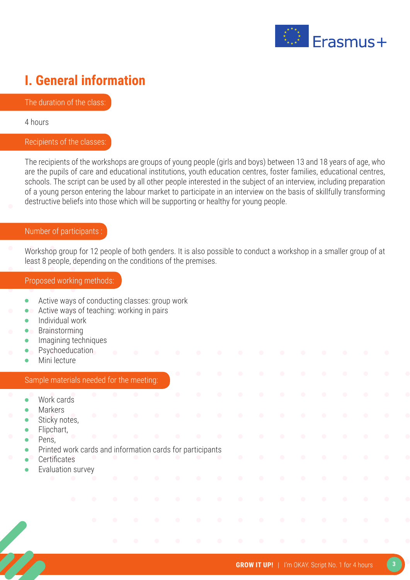

### **I. General information**

The duration of the class:

4 hours

#### Recipients of the classes:

The recipients of the workshops are groups of young people (girls and boys) between 13 and 18 years of age, who are the pupils of care and educational institutions, youth education centres, foster families, educational centres, schools. The script can be used by all other people interested in the subject of an interview, including preparation of a young person entering the labour market to participate in an interview on the basis of skillfully transforming destructive beliefs into those which will be supporting or healthy for young people.

#### Number of participants :

Workshop group for 12 people of both genders. It is also possible to conduct a workshop in a smaller group of at least 8 people, depending on the conditions of the premises.

#### Proposed working methods:

- Active ways of conducting classes: group work  $\bullet$
- Active ways of teaching: working in pairs  $\bullet$
- Individual work  $\bullet$
- Brainstorming
- Imagining techniques
- Psychoeducation
- Mini lecture

#### Sample materials needed for the meeting:

- Work cards
- Markers
- Sticky notes,
- Flipchart,
- Pens,
- Printed work cards and information cards for participants
- **Certificates**
- Evaluation survey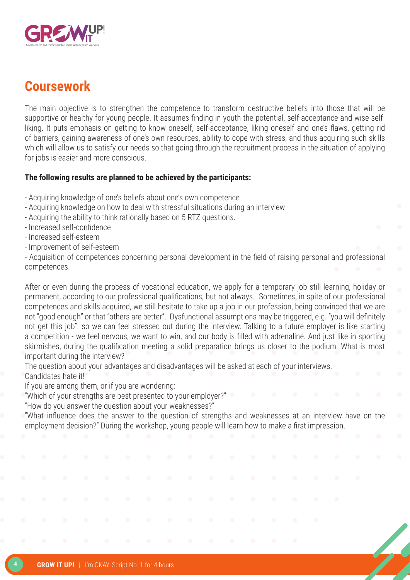

### **Coursework**

The main objective is to strengthen the competence to transform destructive beliefs into those that will be supportive or healthy for young people. It assumes finding in youth the potential, self-acceptance and wise selfliking. It puts emphasis on getting to know oneself, self-acceptance, liking oneself and one's flaws, getting rid of barriers, gaining awareness of one's own resources, ability to cope with stress, and thus acquiring such skills which will allow us to satisfy our needs so that going through the recruitment process in the situation of applying for iobs is easier and more conscious.

#### **The following results are planned to be achieved by the participants:**

- Acquiring knowledge of one's beliefs about one's own competence
- Acquiring knowledge on how to deal with stressful situations during an interview
- Acquiring the ability to think rationally based on 5 RTZ questions.
- Increased self-confidence
- Increased self-esteem
- Improvement of self-esteem

- Acquisition of competences concerning personal development in the field of raising personal and professional competences.

After or even during the process of vocational education, we apply for a temporary job still learning, holiday or permanent, according to our professional qualifications, but not always. Sometimes, in spite of our professional competences and skills acquired, we still hesitate to take up a job in our profession, being convinced that we are not "good enough" or that "others are better". Dysfunctional assumptions may be triggered, e.g. "you will definitely not get this job". so we can feel stressed out during the interview. Talking to a future employer is like starting a competition - we feel nervous, we want to win, and our body is filled with adrenaline. And just like in sporting skirmishes, during the qualification meeting a solid preparation brings us closer to the podium. What is most important during the interview?

The question about your advantages and disadvantages will be asked at each of your interviews. Candidates hate it!

If you are among them, or if you are wondering:

"Which of your strengths are best presented to your employer?"

"How do you answer the question about your weaknesses?"

"What influence does the answer to the question of strengths and weaknesses at an interview have on the employment decision?" During the workshop, young people will learn how to make a first impression.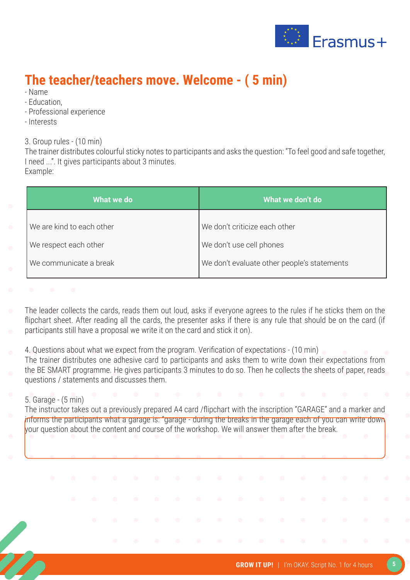

### **The teacher/teachers move. Welcome - ( 5 min)**

- Name
- Education,
- Professional experience
- Interests

3. Group rules - (10 min)

The trainer distributes colourful sticky notes to participants and asks the question: "To feel good and safe together, I need ...". It gives participants about 3 minutes. Example:

| What we do                | What we don't do                            |
|---------------------------|---------------------------------------------|
| We are kind to each other | We don't criticize each other               |
| We respect each other     | We don't use cell phones                    |
| We communicate a break    | We don't evaluate other people's statements |
|                           |                                             |

The leader collects the cards, reads them out loud, asks if everyone agrees to the rules if he sticks them on the flipchart sheet. After reading all the cards, the presenter asks if there is any rule that should be on the card (if participants still have a proposal we write it on the card and stick it on).

4. Questions about what we expect from the program. Verification of expectations - (10 min)

The trainer distributes one adhesive card to participants and asks them to write down their expectations from the BE SMART programme. He gives participants 3 minutes to do so. Then he collects the sheets of paper, reads questions / statements and discusses them.

#### 5. Garage - (5 min)

The instructor takes out a previously prepared A4 card /flipchart with the inscription "GARAGE" and a marker and informs the participants what a garage is: "garage - during the breaks in the garage each of you can write down your question about the content and course of the workshop. We will answer them after the break.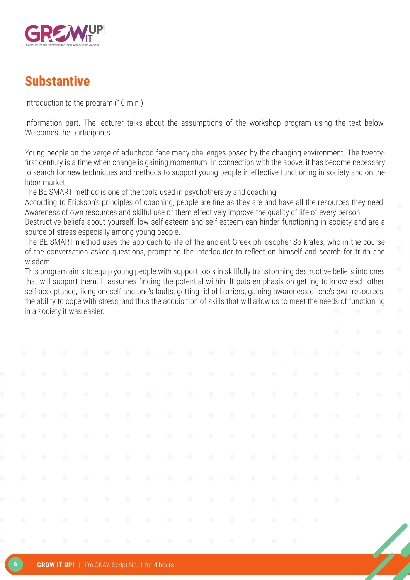

### **Substantive**

Introduction to the program (10 min.)

Information part. The lecturer talks about the assumptions of the workshop program using the text below. Welcomes the participants.

Young people on the verge of adulthood face many challenges posed by the changing environment. The twentyfirst century is a time when change is gaining momentum. In connection with the above, it has become necessary to search for new techniques and methods to support young people in effective functioning in society and on the labor market.

The BE SMART method is one of the tools used in psychotherapy and coaching.

According to Erickson's principles of coaching, people are fine as they are and have all the resources they need. Awareness of own resources and skilful use of them effectively improve the quality of life of every person.

Destructive beliefs about yourself, low self-esteem and self-esteem can hinder functioning in society and are a source of stress especially among young people.

The BE SMART method uses the approach to life of the ancient Greek philosopher So-krates, who in the course of the conversation asked questions, prompting the interlocutor to reflect on himself and search for truth and wisdom.

This program aims to equip young people with support tools in skillfully transforming destructive beliefs into ones that will support them. It assumes finding the potential within. It puts emphasis on getting to know each other, self-acceptance, liking oneself and one's faults, getting rid of barriers, gaining awareness of one's own resources, the ability to cope with stress, and thus the acquisition of skills that will allow us to meet the needs of functioning in a society it was easier.

|  | <b>GROW IT UP!</b>   I'm OKAY. Script No. 1 for 4 hours |  |  |  |  |  |  |
|--|---------------------------------------------------------|--|--|--|--|--|--|
|--|---------------------------------------------------------|--|--|--|--|--|--|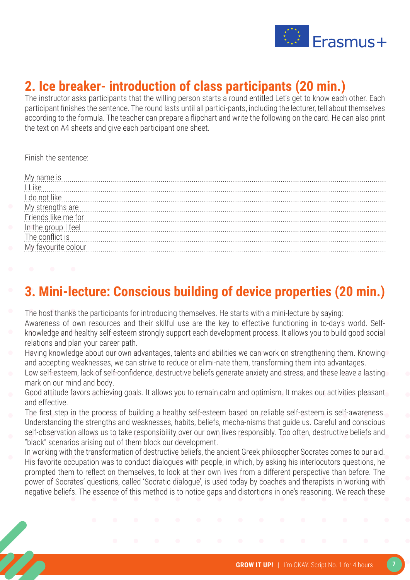

### **2. Ice breaker- introduction of class participants (20 min.)**

The instructor asks participants that the willing person starts a round entitled Let's get to know each other. Each participant finishes the sentence. The round lasts until all partici-pants, including the lecturer, tell about themselves according to the formula. The teacher can prepare a flipchart and write the following on the card. He can also print the text on A4 sheets and give each participant one sheet.

Finish the sentence:

| My name is measured in the set of the set of the set of the set of the set of the set of the set of the set of the set of the set of the set of the set of the set of the set of the set of the set of the set of the set of t       |
|--------------------------------------------------------------------------------------------------------------------------------------------------------------------------------------------------------------------------------------|
| L                                                                                                                                                                                                                                    |
| <u>I do not like communications are not in the set of the set of the set of the set of the set of the set of the set of the set of the set of the set of the set of the set of the set of the set of the set of the set of the s</u> |
| My strengths are material contract to the strengths are material and the strengths are material contract to the strengths are material contract to the strengths are material contract to the strengths are material contract        |
| Friends like me for communications are the form of the form of the form of the form of the form of the form of                                                                                                                       |
| $\boxed{\text{in the group I feel}}$                                                                                                                                                                                                 |
| The conflict is was all and the conflict is was all and the conflict is was all and the conflict is was all and the conflict is was all and the conflict is was all and the conflict is was all and the conflict is was all an       |
|                                                                                                                                                                                                                                      |
|                                                                                                                                                                                                                                      |

### **3. Mini-lecture: Conscious building of device properties (20 min.)**

- The host thanks the participants for introducing themselves. He starts with a mini-lecture by saying:
- Awareness of own resources and their skilful use are the key to effective functioning in to-day's world. Selfknowledge and healthy self-esteem strongly support each development process. It allows you to build good social relations and plan your career path.
- Having knowledge about our own advantages, talents and abilities we can work on strengthening them. Knowing and accepting weaknesses, we can strive to reduce or elimi-nate them, transforming them into advantages.
- Low self-esteem, lack of self-confidence, destructive beliefs generate anxiety and stress, and these leave a lasting mark on our mind and body.
- Good attitude favors achieving goals. It allows you to remain calm and optimism. It makes our activities pleasant and effective.
- The first step in the process of building a healthy self-esteem based on reliable self-esteem is self-awareness. Understanding the strengths and weaknesses, habits, beliefs, mecha-nisms that guide us. Careful and conscious
- self-observation allows us to take responsibility over our own lives responsibly. Too often, destructive beliefs and "black" scenarios arising out of them block our development.
- In working with the transformation of destructive beliefs, the ancient Greek philosopher Socrates comes to our aid. His favorite occupation was to conduct dialogues with people, in which, by asking his interlocutors questions, he prompted them to reflect on themselves, to look at their own lives from a different perspective than before. The power of Socrates' questions, called 'Socratic dialogue', is used today by coaches and therapists in working with negative beliefs. The essence of this method is to notice gaps and distortions in one's reasoning. We reach these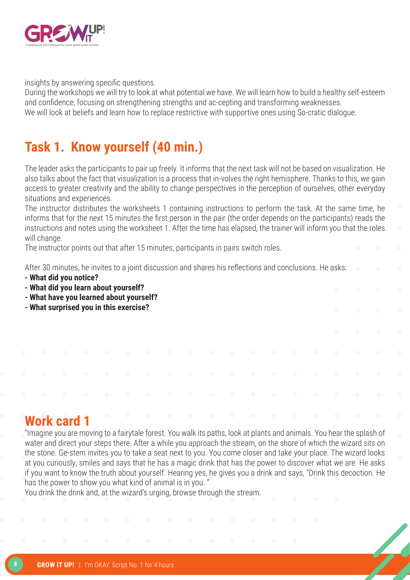

insights by answering specific questions.

During the workshops we will try to look at what potential we have. We will learn how to build a healthy self-esteem and confidence, focusing on strengthening strengths and ac-cepting and transforming weaknesses. We will look at beliefs and learn how to replace restrictive with supportive ones using So-cratic dialogue.

### **Task 1. Know yourself (40 min.)**

The leader asks the participants to pair up freely. It informs that the next task will not be based on visualization. He also talks about the fact that visualization is a process that in-volves the right hemisphere. Thanks to this, we gain access to greater creativity and the ability to change perspectives in the perception of ourselves, other everyday situations and experiences.

The instructor distributes the worksheets 1 containing instructions to perform the task. At the same time, he informs that for the next 15 minutes the first person in the pair (the order depends on the participants) reads the instructions and notes using the worksheet 1. After the time has elapsed, the trainer will inform you that the roles will change.

The instructor points out that after 15 minutes, participants in pairs switch roles.

After 30 minutes, he invites to a joint discussion and shares his reflections and conclusions. He asks:

- **What did you notice?**
- **What did you learn about yourself?**
- **What have you learned about yourself?**
- **What surprised you in this exercise?**

### **Work card 1**

"Imagine you are moving to a fairytale forest. You walk its paths, look at plants and animals. You hear the splash of water and direct your steps there. After a while you approach the stream, on the shore of which the wizard sits on the stone. Ge-stem invites you to take a seat next to you. You come closer and take your place. The wizard looks at you curiously, smiles and says that he has a magic drink that has the power to discover what we are. He asks if you want to know the truth about yourself. Hearing yes, he gives you a drink and says, "Drink this decoction. He has the power to show you what kind of animal is in you. "

You drink the drink and, at the wizard's urging, browse through the stream.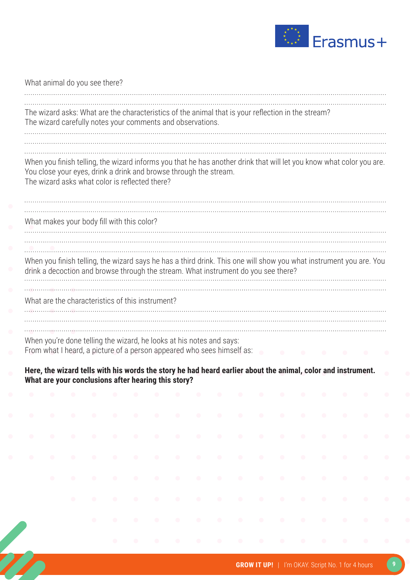

|           | The wizard asks: What are the characteristics of the animal that is your reflection in the stream?                                                                                                       |           |           |           |           |           |           |           |           |           |           |           |           |           |           |                        |
|-----------|----------------------------------------------------------------------------------------------------------------------------------------------------------------------------------------------------------|-----------|-----------|-----------|-----------|-----------|-----------|-----------|-----------|-----------|-----------|-----------|-----------|-----------|-----------|------------------------|
|           | The wizard carefully notes your comments and observations.                                                                                                                                               |           |           |           |           |           |           |           |           |           |           |           |           |           |           |                        |
|           |                                                                                                                                                                                                          |           |           |           |           |           |           |           |           |           |           |           |           |           |           |                        |
|           | When you finish telling, the wizard informs you that he has another drink that will let you know what color you are.                                                                                     |           |           |           |           |           |           |           |           |           |           |           |           |           |           |                        |
|           | You close your eyes, drink a drink and browse through the stream.                                                                                                                                        |           |           |           |           |           |           |           |           |           |           |           |           |           |           |                        |
|           | The wizard asks what color is reflected there?                                                                                                                                                           |           |           |           |           |           |           |           |           |           |           |           |           |           |           |                        |
|           |                                                                                                                                                                                                          |           |           |           |           |           |           |           |           |           |           |           |           |           |           |                        |
|           | What makes your body fill with this color?                                                                                                                                                               |           |           |           |           |           |           |           |           |           |           |           |           |           |           |                        |
|           |                                                                                                                                                                                                          |           |           |           |           |           |           |           |           |           |           |           |           |           |           |                        |
|           |                                                                                                                                                                                                          |           |           |           |           |           |           |           |           |           |           |           |           |           |           |                        |
|           | When you finish telling, the wizard says he has a third drink. This one will show you what instrument you are. You<br>drink a decoction and browse through the stream. What instrument do you see there? |           |           |           |           |           |           |           |           |           |           |           |           |           |           |                        |
|           |                                                                                                                                                                                                          |           |           |           |           |           |           |           |           |           |           |           |           |           |           |                        |
|           | What are the characteristics of this instrument?                                                                                                                                                         |           |           |           |           |           |           |           |           |           |           |           |           |           |           |                        |
|           |                                                                                                                                                                                                          |           |           |           |           |           |           |           |           |           |           |           |           |           |           |                        |
|           |                                                                                                                                                                                                          |           |           |           |           |           |           |           |           |           |           |           |           |           |           |                        |
|           |                                                                                                                                                                                                          |           |           |           |           |           |           |           |           |           |           |           |           |           |           |                        |
|           | When you're done telling the wizard, he looks at his notes and says:                                                                                                                                     |           |           |           |           |           |           |           |           |           |           |           |           |           |           |                        |
|           | From what I heard, a picture of a person appeared who sees himself as:                                                                                                                                   |           |           |           |           |           |           |           |           |           |           |           |           |           |           |                        |
|           | Here, the wizard tells with his words the story he had heard earlier about the animal, color and instrument.                                                                                             |           |           |           |           |           |           |           |           |           |           |           |           |           |           |                        |
|           | What are your conclusions after hearing this story?                                                                                                                                                      |           |           |           |           |           |           |           |           |           |           |           |           |           |           |                        |
| $\bullet$ | $\bullet$                                                                                                                                                                                                | $\bullet$ | $\bullet$ | $\bullet$ | $\bullet$ | $\bullet$ | $\bullet$ | $\bullet$ | $\bullet$ | $\bullet$ | $\bullet$ | $\bullet$ | $\bullet$ | $\bullet$ | $\bullet$ |                        |
| $\bullet$ | $\bullet$                                                                                                                                                                                                | $\bullet$ | $\bullet$ | $\bullet$ | $\bullet$ | $\bullet$ | $\bullet$ | $\bullet$ | $\bullet$ | $\bullet$ | $\bullet$ | $\bullet$ | $\bullet$ | $\bullet$ | $\bullet$ | $\bullet$              |
|           |                                                                                                                                                                                                          |           |           |           |           |           |           |           |           |           |           |           |           |           |           |                        |
| $\bullet$ | $\bullet$                                                                                                                                                                                                | $\bullet$ | $\bullet$ | $\bullet$ | $\bullet$ | $\bullet$ | $\bullet$ | $\bullet$ | $\bullet$ | $\bullet$ | $\bullet$ | $\bullet$ | $\bullet$ | $\bullet$ | $\bullet$ | $\bullet$              |
| $\bullet$ | $\bullet$                                                                                                                                                                                                | $\bullet$ | $\bullet$ | $\bullet$ | $\bullet$ | $\bullet$ | $\bullet$ | $\bullet$ | $\bullet$ | $\bullet$ | $\bullet$ | $\bullet$ | $\bullet$ | $\bullet$ | $\bullet$ |                        |
|           |                                                                                                                                                                                                          |           |           |           |           |           |           |           |           |           |           |           |           |           |           |                        |
|           | $\bullet$                                                                                                                                                                                                | $\bullet$ | $\bullet$ | $\bullet$ | $\bullet$ | $\bullet$ | $\bullet$ | $\bullet$ | $\bullet$ | $\bullet$ | $\bullet$ | $\bullet$ | $\bullet$ | $\bullet$ | $\bullet$ | $\bullet$<br>$\bullet$ |
|           |                                                                                                                                                                                                          | $\bullet$ | $\bullet$ | $\bullet$ | $\bullet$ | $\bullet$ | $\bullet$ | $\bullet$ | $\bullet$ | $\bullet$ | $\bullet$ | $\bullet$ | $\bullet$ | $\bullet$ | $\bullet$ | $\bullet$              |
|           |                                                                                                                                                                                                          |           | $\bullet$ | $\bullet$ | $\bullet$ | $\bullet$ | $\bullet$ | $\bullet$ | $\bullet$ | $\bullet$ | $\bullet$ | $\bullet$ | $\bullet$ | $\bullet$ | $\bullet$ |                        |
|           |                                                                                                                                                                                                          |           |           |           |           |           |           |           |           |           |           |           |           |           |           | $\bullet$              |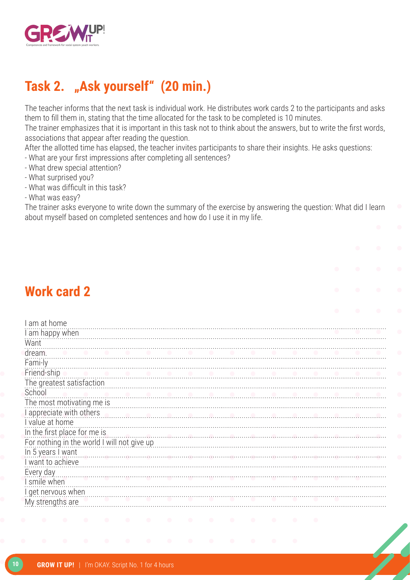

### **Task 2. "Ask yourself" (20 min.)**

The teacher informs that the next task is individual work. He distributes work cards 2 to the participants and asks them to fill them in, stating that the time allocated for the task to be completed is 10 minutes.

The trainer emphasizes that it is important in this task not to think about the answers, but to write the first words, associations that appear after reading the question.

After the allotted time has elapsed, the teacher invites participants to share their insights. He asks questions:

- What are your first impressions after completing all sentences?

- What drew special attention?
- What surprised you?
- What was difficult in this task?
- What was easy?

The trainer asks everyone to write down the summary of the exercise by answering the question: What did I learn about myself based on completed sentences and how do I use it in my life.

### **Work card 2**

| am at home                                  |
|---------------------------------------------|
| I am happy when                             |
| Want                                        |
| dream.                                      |
| Fami-ly                                     |
| Friend-ship                                 |
| The greatest satisfaction                   |
| School                                      |
| The most motivating me is                   |
| I appreciate with others<br>.               |
| I value at home                             |
| In the first place for me is                |
| For nothing in the world I will not give up |
| In 5 years I want                           |
| I want to achieve                           |
| Every day                                   |
| I smile when                                |
| I get nervous when                          |
| My strengths are                            |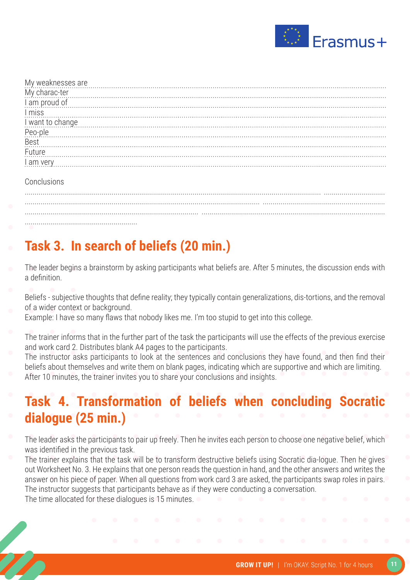

| My weaknesses are material contract the state of the state of the state of the state of the state of the state of the state of the state of the state of the state of the state of the state of the state of the state of the |
|-------------------------------------------------------------------------------------------------------------------------------------------------------------------------------------------------------------------------------|
|                                                                                                                                                                                                                               |
| My charac-ter<br>I am proud of                                                                                                                                                                                                |
| n<br>I miss                                                                                                                                                                                                                   |
| I want to change <b>construction of the construction</b> of want to change in the set of the construction of the change                                                                                                       |
| Peo-ple<br>Peo-ple                                                                                                                                                                                                            |
|                                                                                                                                                                                                                               |
| Future                                                                                                                                                                                                                        |
|                                                                                                                                                                                                                               |
|                                                                                                                                                                                                                               |
|                                                                                                                                                                                                                               |

#### **Conclusions**

...................................................................................................................................................... ............................... ....................................................................................................................... .............................................................. ........................................................................................ ............................................................................................. .........................................................

### **Task 3. In search of beliefs (20 min.)**

- The leader begins a brainstorm by asking participants what beliefs are. After 5 minutes, the discussion ends with a definition.
- Beliefs subjective thoughts that define reality; they typically contain generalizations, dis-tortions, and the removal of a wider context or background.
- Example: I have so many flaws that nobody likes me. I'm too stupid to get into this college.
- The trainer informs that in the further part of the task the participants will use the effects of the previous exercise and work card 2. Distributes blank A4 pages to the participants.
- The instructor asks participants to look at the sentences and conclusions they have found, and then find their beliefs about themselves and write them on blank pages, indicating which are supportive and which are limiting. After 10 minutes, the trainer invites you to share your conclusions and insights.

### **Task 4. Transformation of beliefs when concluding Socratic dialogue (25 min.)**

- The leader asks the participants to pair up freely. Then he invites each person to choose one negative belief, which was identified in the previous task.
- The trainer explains that the task will be to transform destructive beliefs using Socratic dia-logue. Then he gives out Worksheet No. 3. He explains that one person reads the question in hand, and the other answers and writes the answer on his piece of paper. When all questions from work card 3 are asked, the participants swap roles in pairs. The instructor suggests that participants behave as if they were conducting a conversation. The time allocated for these dialogues is 15 minutes.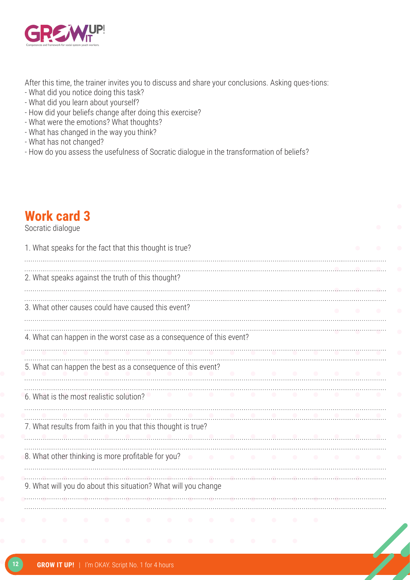

After this time, the trainer invites you to discuss and share your conclusions. Asking ques-tions:

- What did you notice doing this task?
- What did you learn about yourself?
- How did your beliefs change after doing this exercise?
- What were the emotions? What thoughts?
- What has changed in the way you think?
- What has not changed?
- How do you assess the usefulness of Socratic dialogue in the transformation of beliefs?

### **Work card 3**

#### Socratic dialogue

| 1. What speaks for the fact that this thought is true?               |  |
|----------------------------------------------------------------------|--|
| 2. What speaks against the truth of this thought?                    |  |
| 3. What other causes could have caused this event?                   |  |
| 4. What can happen in the worst case as a consequence of this event? |  |
| 5. What can happen the best as a consequence of this event?          |  |
| 6. What is the most realistic solution?                              |  |
| 7. What results from faith in you that this thought is true?         |  |
| 8. What other thinking is more profitable for you?                   |  |
| 9. What will you do about this situation? What will you change       |  |
|                                                                      |  |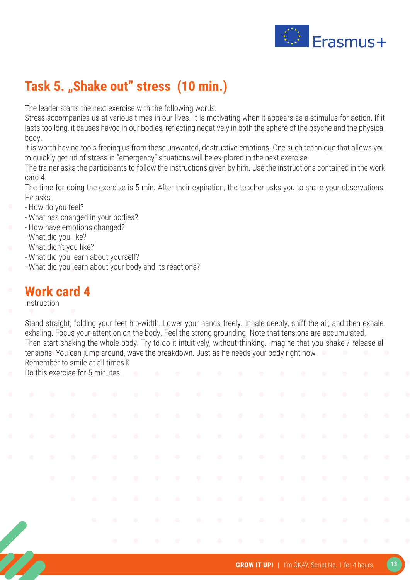

### Task 5. "Shake out" stress (10 min.)

The leader starts the next exercise with the following words:

Stress accompanies us at various times in our lives. It is motivating when it appears as a stimulus for action. If it lasts too long, it causes havoc in our bodies, reflecting negatively in both the sphere of the psyche and the physical body.

It is worth having tools freeing us from these unwanted, destructive emotions. One such technique that allows you to quickly get rid of stress in "emergency" situations will be ex-plored in the next exercise.

The trainer asks the participants to follow the instructions given by him. Use the instructions contained in the work card 4.

The time for doing the exercise is 5 min. After their expiration, the teacher asks you to share your observations. He asks:

- How do you feel?
- What has changed in your bodies?
- How have emotions changed?
- What did you like?
- What didn't you like?
	- What did you learn about yourself?
- What did you learn about your body and its reactions?

### **Work card 4**

Instruction

- Stand straight, folding your feet hip-width. Lower your hands freely. Inhale deeply, sniff the air, and then exhale, exhaling. Focus your attention on the body. Feel the strong grounding. Note that tensions are accumulated. Then start shaking the whole body. Try to do it intuitively, without thinking. Imagine that you shake / release all
- tensions. You can jump around, wave the breakdown. Just as he needs your body right now. Remember to smile at all times  $\mathbb N$
- Do this exercise for 5 minutes.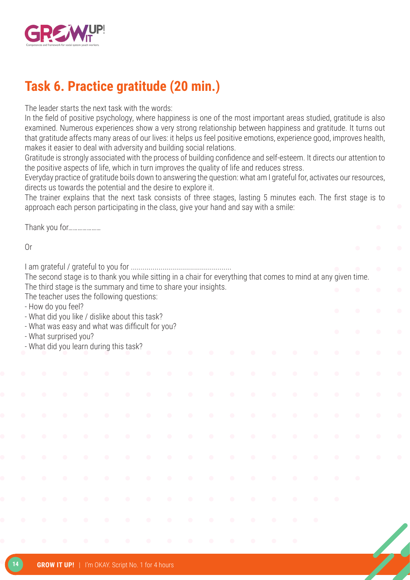

### **Task 6. Practice gratitude (20 min.)**

The leader starts the next task with the words:

In the field of positive psychology, where happiness is one of the most important areas studied, gratitude is also examined. Numerous experiences show a very strong relationship between happiness and gratitude. It turns out that gratitude affects many areas of our lives: it helps us feel positive emotions, experience good, improves health, makes it easier to deal with adversity and building social relations.

Gratitude is strongly associated with the process of building confidence and self-esteem. It directs our attention to the positive aspects of life, which in turn improves the quality of life and reduces stress.

Everyday practice of gratitude boils down to answering the question: what am I grateful for, activates our resources, directs us towards the potential and the desire to explore it.

The trainer explains that the next task consists of three stages, lasting 5 minutes each. The first stage is to approach each person participating in the class, give your hand and say with a smile:

Thank you for…………………

Or

I am grateful / grateful to you for ................................................... The second stage is to thank you while sitting in a chair for everything that comes to mind at any given time. The third stage is the summary and time to share your insights. The teacher uses the following questions: - How do you feel? - What did you like / dislike about this task? - What was easy and what was difficult for you? - What surprised you?

- What did you learn during this task?

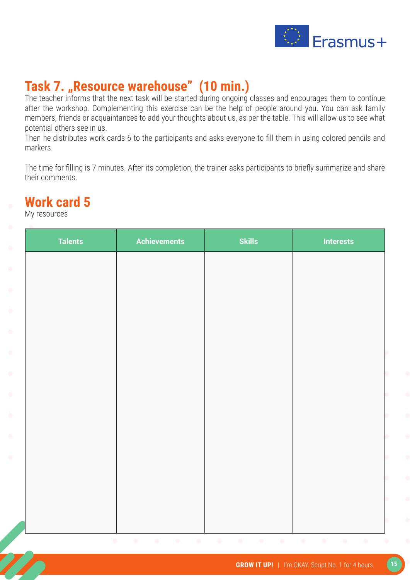

### Task 7. "Resource warehouse" (10 min.)

The teacher informs that the next task will be started during ongoing classes and encourages them to continue after the workshop. Complementing this exercise can be the help of people around you. You can ask family members, friends or acquaintances to add your thoughts about us, as per the table. This will allow us to see what potential others see in us.

Then he distributes work cards 6 to the participants and asks everyone to fill them in using colored pencils and markers.

The time for filling is 7 minutes. After its completion, the trainer asks participants to briefly summarize and share their comments.

### **Work card 5**

My resources

| <b>Talents</b> | <b>Achievements</b> | <b>Skills</b> | <b>Interests</b> |
|----------------|---------------------|---------------|------------------|
|                |                     |               |                  |
|                |                     |               |                  |
|                |                     |               |                  |
|                |                     |               |                  |
|                |                     |               |                  |
|                |                     |               |                  |
|                |                     |               |                  |
|                |                     |               |                  |
|                |                     |               |                  |
|                |                     |               |                  |
|                |                     |               |                  |
|                |                     |               |                  |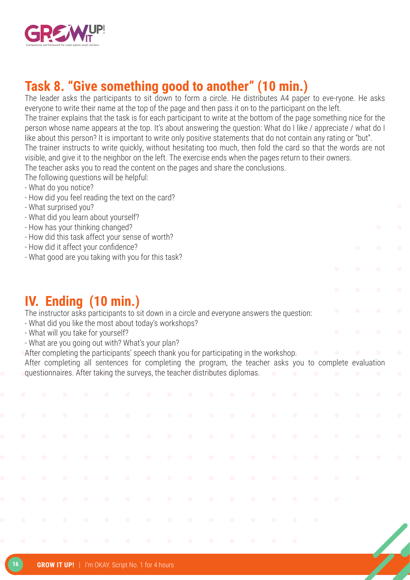

### **Task 8. "Give something good to another" (10 min.)**

The leader asks the participants to sit down to form a circle. He distributes A4 paper to eve-ryone. He asks everyone to write their name at the top of the page and then pass it on to the participant on the left.

The trainer explains that the task is for each participant to write at the bottom of the page something nice for the person whose name appears at the top. It's about answering the question: What do I like / appreciate / what do I like about this person? It is important to write only positive statements that do not contain any rating or "but".

The trainer instructs to write quickly, without hesitating too much, then fold the card so that the words are not visible, and give it to the neighbor on the left. The exercise ends when the pages return to their owners.

The teacher asks you to read the content on the pages and share the conclusions.

- The following questions will be helpful:
- What do you notice?
- How did you feel reading the text on the card?
- What surprised you?
- What did you learn about yourself?
- How has your thinking changed?
- How did this task affect your sense of worth?
- How did it affect your confidence?
- What good are you taking with you for this task?

### **IV. Ending (10 min.)**

The instructor asks participants to sit down in a circle and everyone answers the question:

- What did you like the most about today's workshops?
- What will you take for yourself?
- What are you going out with? What's your plan?
- After completing the participants' speech thank you for participating in the workshop.

After completing all sentences for completing the program, the teacher asks you to complete evaluation questionnaires. After taking the surveys, the teacher distributes diplomas.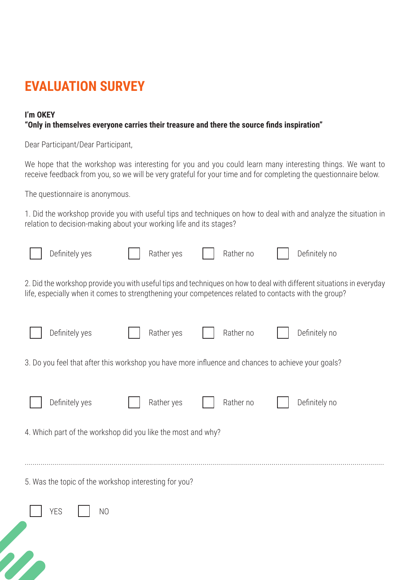### **EVALUATION SURVEY**

#### **I'm OKEY**

#### **"Only in themselves everyone carries their treasure and there the source finds inspiration"**

Dear Participant/Dear Participant,

We hope that the workshop was interesting for you and you could learn many interesting things. We want to receive feedback from you, so we will be very grateful for your time and for completing the questionnaire below.

The questionnaire is anonymous.

1. Did the workshop provide you with useful tips and techniques on how to deal with and analyze the situation in relation to decision-making about your working life and its stages?

|  | Definitely yes                                                                                       | Rather yes | Rather no | Definitely no                                                                                                        |
|--|------------------------------------------------------------------------------------------------------|------------|-----------|----------------------------------------------------------------------------------------------------------------------|
|  | life, especially when it comes to strengthening your competences related to contacts with the group? |            |           | 2. Did the workshop provide you with useful tips and techniques on how to deal with different situations in everyday |
|  | Definitely yes                                                                                       | Rather yes | Rather no | Definitely no                                                                                                        |
|  | 3. Do you feel that after this workshop you have more influence and chances to achieve your goals?   |            |           |                                                                                                                      |
|  | Definitely yes                                                                                       | Rather yes | Rather no | Definitely no                                                                                                        |
|  | 4. Which part of the workshop did you like the most and why?                                         |            |           |                                                                                                                      |
|  | 5. Was the topic of the workshop interesting for you?                                                |            |           |                                                                                                                      |
|  | <b>YES</b><br>N <sub>O</sub>                                                                         |            |           |                                                                                                                      |
|  |                                                                                                      |            |           |                                                                                                                      |
|  |                                                                                                      |            |           |                                                                                                                      |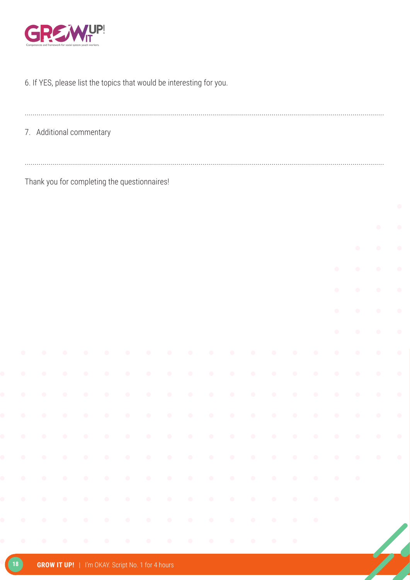

#### 6. If YES, please list the topics that would be interesting for you.

| 7. Additional commentary |  |
|--------------------------|--|

Thank you for completing the questionnaires!